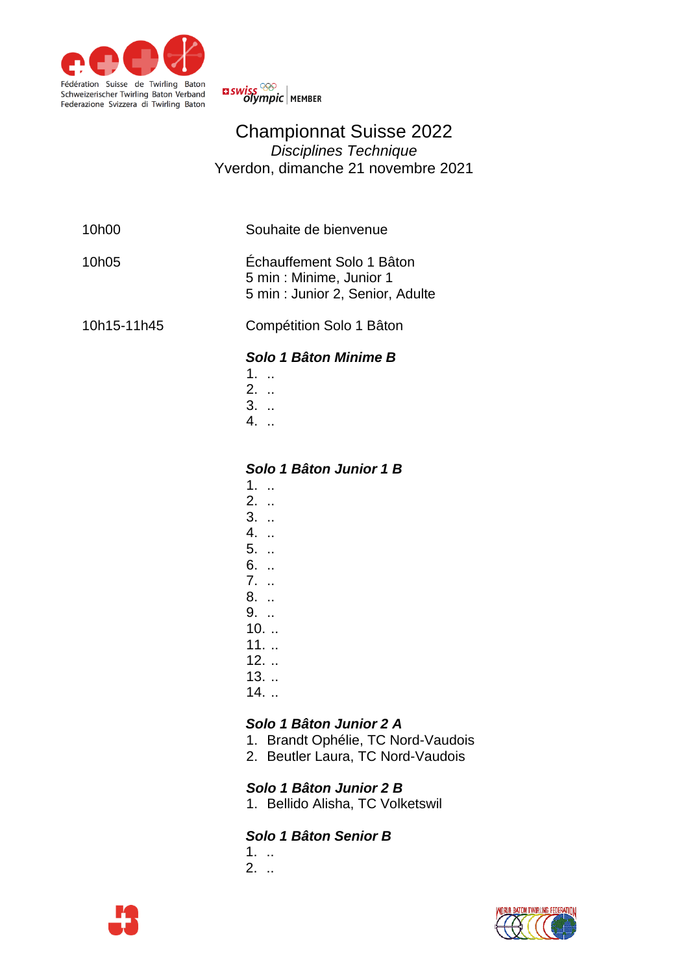



## Championnat Suisse 2022 *Disciplines Technique* Yverdon, dimanche 21 novembre 2021

| 10h00       | Souhaite de bienvenue                                                                                                           |
|-------------|---------------------------------------------------------------------------------------------------------------------------------|
| 10h05       | Échauffement Solo 1 Bâton<br>5 min : Minime, Junior 1<br>5 min : Junior 2, Senior, Adulte                                       |
| 10h15-11h45 | Compétition Solo 1 Bâton                                                                                                        |
|             | Solo 1 Bâton Minime B<br>$1.$<br>$2.$<br>$3.$<br>4. .                                                                           |
|             | Solo 1 Bâton Junior 1 B<br>1.<br>$2.$<br>$3.$ .<br>4.<br>5. .<br>6.<br>$7.$ .<br>8. .<br>9.<br>$10.$<br>$11.$<br>$\overline{ }$ |

- 12. ..
- 13. ..
- 14. ..

## *Solo 1 Bâton Junior 2 A*

- 1. Brandt Ophélie, TC Nord-Vaudois
- 2. Beutler Laura, TC Nord-Vaudois

## *Solo 1 Bâton Junior 2 B*

1. Bellido Alisha, TC Volketswil

## *Solo 1 Bâton Senior B*

- 1. ..
- 2. ..



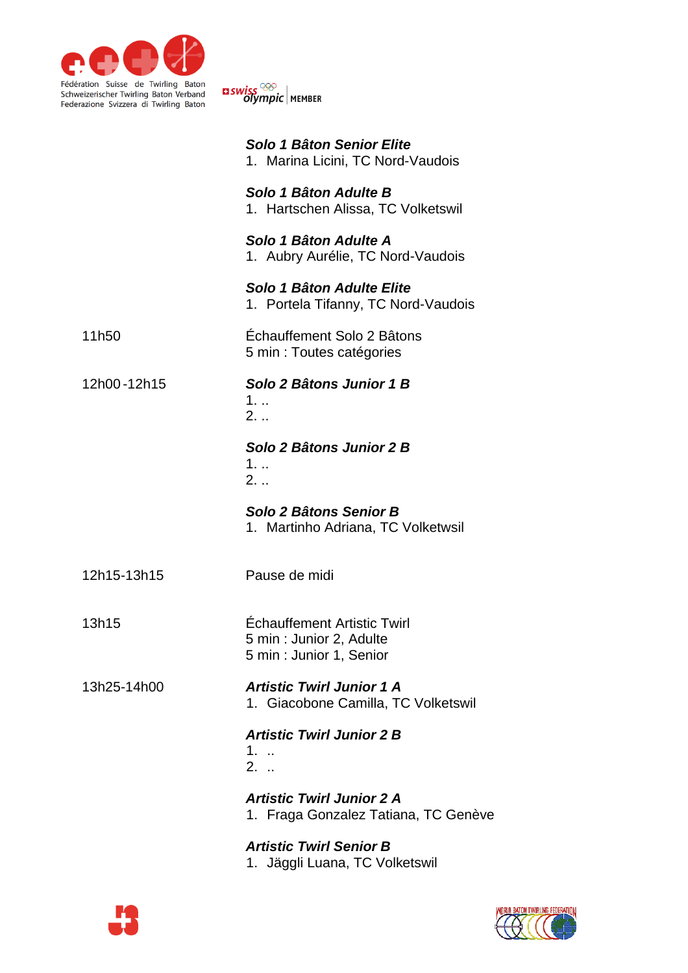

<mark>¤ swiss <sup>©©</sup><br>©lympic |</mark> мемвек

|             | Solo 1 Bâton Senior Elite<br>1. Marina Licini, TC Nord-Vaudois                      |
|-------------|-------------------------------------------------------------------------------------|
|             | Solo 1 Bâton Adulte B<br>1. Hartschen Alissa, TC Volketswil                         |
|             | Solo 1 Bâton Adulte A<br>1. Aubry Aurélie, TC Nord-Vaudois                          |
|             | Solo 1 Bâton Adulte Elite<br>1. Portela Tifanny, TC Nord-Vaudois                    |
| 11h50       | Échauffement Solo 2 Bâtons<br>5 min : Toutes catégories                             |
| 12h00-12h15 | Solo 2 Bâtons Junior 1 B<br>$1.$<br>2.                                              |
|             | Solo 2 Bâtons Junior 2 B<br>$1.$<br>$2. \ldots$                                     |
|             | Solo 2 Bâtons Senior B                                                              |
|             | 1. Martinho Adriana, TC Volketwsil                                                  |
| 12h15-13h15 | Pause de midi                                                                       |
| 13h15       | Échauffement Artistic Twirl<br>5 min : Junior 2, Adulte<br>5 min : Junior 1, Senior |
| 13h25-14h00 | <b>Artistic Twirl Junior 1 A</b><br>1. Giacobone Camilla, TC Volketswil             |
|             | <b>Artistic Twirl Junior 2 B</b><br>$1.$<br>$2.$                                    |
|             | <b>Artistic Twirl Junior 2 A</b><br>1. Fraga Gonzalez Tatiana, TC Genève            |